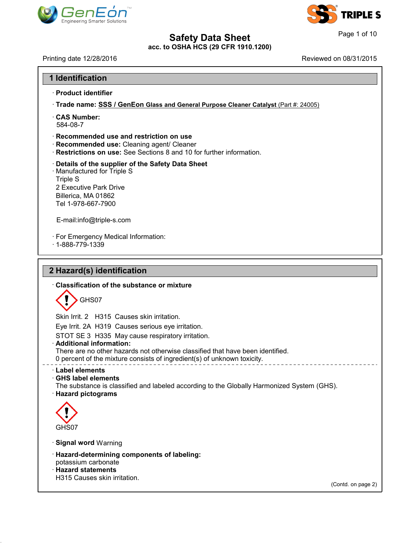



I

41.1.0

| <b>Engineering Smarter Solutions</b>                                                                                                                                      |                        |  |
|---------------------------------------------------------------------------------------------------------------------------------------------------------------------------|------------------------|--|
| <b>Safety Data Sheet</b><br>acc. to OSHA HCS (29 CFR 1910.1200)                                                                                                           | Page 1 of 10           |  |
| Printing date 12/28/2016                                                                                                                                                  | Reviewed on 08/31/2015 |  |
| 1 Identification                                                                                                                                                          |                        |  |
| · Product identifier                                                                                                                                                      |                        |  |
| · Trade name: SSS / GenEon Glass and General Purpose Cleaner Catalyst (Part #: 24005)                                                                                     |                        |  |
| <b>CAS Number:</b><br>584-08-7                                                                                                                                            |                        |  |
| Recommended use and restriction on use<br>· Recommended use: Cleaning agent/ Cleaner<br>Restrictions on use: See Sections 8 and 10 for further information.               |                        |  |
| Details of the supplier of the Safety Data Sheet<br>· Manufactured for Triple S<br><b>Triple S</b><br>2 Executive Park Drive<br>Billerica, MA 01862<br>Tel 1-978-667-7900 |                        |  |
| E-mail:info@triple-s.com                                                                                                                                                  |                        |  |
| · For Emergency Medical Information:<br>$.1 - 888 - 779 - 1339$                                                                                                           |                        |  |
| 2 Hazard(s) identification                                                                                                                                                |                        |  |
| Classification of the substance or mixture                                                                                                                                |                        |  |
| GHS07                                                                                                                                                                     |                        |  |
| Skin Irrit. 2 H315 Causes skin irritation.                                                                                                                                |                        |  |
| Eye Irrit. 2A H319 Causes serious eye irritation.                                                                                                                         |                        |  |
| STOT SE 3 H335 May cause respiratory irritation.<br>· Additional information:                                                                                             |                        |  |
| There are no other hazards not otherwise classified that have been identified.<br>0 percent of the mixture consists of ingredient(s) of unknown toxicity.                 |                        |  |
| · Label elements<br>⋅ GHS label elements<br>The substance is classified and labeled according to the Globally Harmonized System (GHS).<br>· Hazard pictograms             |                        |  |
|                                                                                                                                                                           |                        |  |
| GHS07                                                                                                                                                                     |                        |  |
| · Signal word Warning                                                                                                                                                     |                        |  |
| · Hazard-determining components of labeling:<br>potassium carbonate<br><b>Hazard statements</b>                                                                           |                        |  |
| H315 Causes skin irritation.                                                                                                                                              |                        |  |
|                                                                                                                                                                           | (Contd. on page 2)     |  |
|                                                                                                                                                                           |                        |  |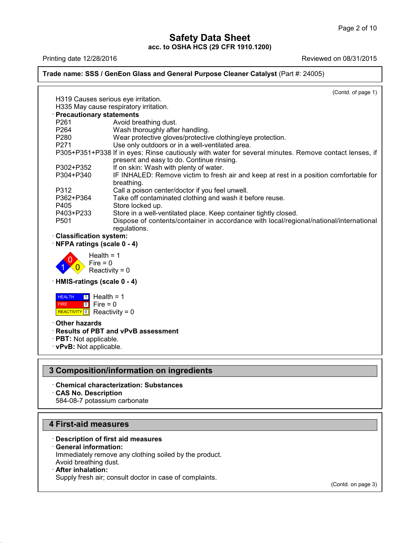### Page 2 of 10<br> **Safety Data Sheet**<br>
acc. to OSHA HCS (29 CFR 1910.1200)<br>
Reviewed on 08/31/2015<br>
Reviewed on 08/31/2015<br>
Reviewed on 08/31/2015 **Trade name: SSS / GenEon Glass and General Purpose Cleaner Catalyst** (Part #: 24005) (Contd. of page 1) Ing date 12/26/2010<br>
He name: SSS / GenEon Glass and General<br>
H319 Causes serious eye irritation.<br>
H335 May cause respiratory irritation.<br>
Precautionary statements **Example: SSS / GenEon Glass and General P<br>
H319 Causes serious eye irritation.**<br> **Precautionary statements<br>
P261 Avoid breathing dust.<br>
P264 Wash thoroughly after handling.** H319 Causes serious eye irritation.<br>
H335 May cause respiratory irritation.<br> **Precautionary statements**<br>
P261 Avoid breathing dust.<br>
P264 Wash thoroughly after handling.<br>
P280 Wear protective gloves/protective of H319 Causes serious eye irritation.<br>
H335 May cause respiratory irritation.<br> **Precautionary statements**<br>
P261 Avoid breathing dust.<br>
P264 Wash thoroughly after handling.<br>
P280 Wear protective gloves/protective clothing<br>
P2 H319 Causes serious eye irritation.<br>
H335 May cause respiratory irritation.<br> **Precautionary statements**<br>
P261 Avoid breathing dust.<br>
P264 Wash thoroughly after handling.<br>
P280 Wear protective gloves/protective clothing/eye H335 May cause respiratory irritation.<br> **Precautionary statements**<br>
P261 Avoid breathing dust.<br>
P264 Wash thoroughly after handling.<br>
P280 Wear protective gloves/protective clothing/eye protection.<br>
P271 Use only outdoors **Precautionary statements**<br>
P261 Avoid breathing dust.<br>
P264 Wash thoroughly after handling.<br>
P280 Wear protective gloves/protective clothing/eye protection.<br>
P271 Use only outdoors or in a well-ventilated area.<br>
P305+P351 Avoid breathing dust.<br>
Wash thoroughly after handling.<br>
Wear protective gloves/protective clothing/eye protection.<br>
Use only outdoors or in a well-ventilated area.<br>
If in eyes: Rinse cautiously with water for several minut P264 Wash thoroughly after handling.<br>
P280 Wear protective gloves/protective clothing/eye pro<br>
P271 Use only outdoors or in a well-ventilated area.<br>
P305+P351+P338 If in eyes: Rinse cautiously with water for severa<br>
presen P280 Wear protective gloves/protective clothing/eye protection.<br>
P271 Use only outdoors or in a well-ventilated area.<br>
P305+P351+P338 If in eyes: Rinse cautiously with water for several minutes. Remove contact lenses, if<br> breathing.<br>Call a poison center/doctor if you feel unwell. P305+P351+P338 If in eyes: Rinse cautiously with water for several minut<br>present and easy to do. Continue rinsing.<br>P302+P352 If on skin: Wash with plenty of water.<br>P304+P340 IF INHALED: Remove victim to fresh air and keep present and easy to do. Continue rinsing.<br>
P302+P352 If on skin: Wash with plenty of water.<br>
P304+P340 IF INHALED: Remove victim to fresh air and keep at rest in a positic<br>
breathing.<br>
P312 Call a poison center/doctor if y P302+P352 If on skin: Wash with plenty of w<br>
P304+P340 IF INHALED: Remove victim to<br>
breathing.<br>
P312 Call a poison center/doctor if you<br>
P362+P364 Take off contaminated clothing a<br>
P405 Store locked up.<br>
P403+P233 Store i P304+P340 IF INHALED: Remove victim to fresh air and keep at rest in a position c<br>
breathing.<br>
P312 Call a poison center/doctor if you feel unwell.<br>
P362+P364 Take off contaminated clothing and wash it before reuse.<br>
P405 breathing.<br>
P312 Call a poison center/doctor if you feel unwell.<br>
P362+P364 Take off contaminated clothing and wash it before reuse.<br>
P405 Store locked up.<br>
P403+P233 Store in a well-ventilated place. Keep container tightl regulations. P362+P364<br>
P405 Store locked up<br>
P403+P233 Store in a well-<br>
P501 Dispose of con<br>
regulations.<br> **Classification system:**<br> **NFPA ratings (scale 0 - 4)** P405<br>
P403+P233<br>
Store in a well-ventilated<br>
P501 Dispose of contents/con<br>
regulations.<br> **Classification system:**<br>
NFPA ratings (scale 0 - 4)<br>
Health = 1  $\left| \begin{array}{c} 1 \\ 0 \end{array} \right|$  Reactivi Health =  $1$ <br>Fire =  $0$ Dispose of contents<br>
Dispose of contents<br>
regulations.<br> **ion system:**<br> **gs (scale 0 - 4)**<br>
Health = 1<br>
Fire = 0<br>
Reactivity = 0 Figulations.<br>
Figulations.<br>
Figulations.<br>
Igs (scale 0 - 4)<br>
Health = 1<br>
Fire = 0<br>
Reactivity = 0 Fraction system:<br>  $\log s$  (scale 0 - 4)<br>  $\text{Health} = 1$ <br>  $\text{Fire} = 0$ <br>  $\text{Reactivity} = 0$ <br>  $\text{gs}$  (scale 0 - 4) • **NFPA ratings (scale 0 - 4)**<br>
Health = 1<br>
Fire = 0<br> **HMIS-ratings (scale 0 - 4)**<br> **HEALTH 11** Health = 1 **HEALTH** 1 Hea FIRE **REACTIVITY 0 Re**  $\boxed{0}$  Fire = 0 Fire = 0<br>
Reactivity = 0<br> **ings (scale 0 - 4)**<br> **i** Health = 1<br>
Fire = 0<br>
Reactivity = 0 reactivity = 0<br> **s** (scale 0 - 4)<br>
Health = 1<br>
Fire = 0<br>
Reactivity = 0  $\begin{aligned} &\text{Re}( \text{scale } 0 - 4) \ &\text{Health} &= 1 \ &\text{Fire} &= 0 \ &\text{Reactivity} &= 0 \ &\text{ds} \end{aligned}$ **HEALTH 1 Health = 1**<br>
FIRE 0 Fire = 0<br>
REACTIVITY 0 Reactivity = 0<br> **Cher hazards<br>
Results of PBT and vPv**<br>
PBT: Not applicable **ERE CONTRENT BUTTLE PROPERTY AND REACTIVITY OF PREACTIVITY OF PREACTIVITY OF PREACTIVITY OF PREACTIVITY OF PREACTION**<br> **PRISP AND PRISP AND VPVB assessment**<br> **PBT:** Not applicable.<br> **PRISP AND AND PRISP AND VPVB assessmen FIRE PRODUCE 1999 FORMAL PRODUCE 2014**<br> **REACTIVITY OF REACTIVITY PRODUCE 2014**<br> **PBT:** Not applicable.<br> **PBT:** Not applicable. **3 Composition/information on ingredients<br>
2 Composition/information on ingredients<br>
3 Composition/information on ingredients<br>
3 Composition/information on ingredients<br>
2 Chemical characterization: Substances EXPVB: Not applicable.**<br> **B Composition/information on ingredients**<br> **Chemical characterization: Substances<br>
CAS No. Description<br>
584-08-7 potassium carbonate Composition/information<br>• Chemical characterization: Su<br>• CAS No. Description<br>• 584-08-7 potassium carbonate Composition/information on ing**<br>Chemical characterization: Substance<br>CAS No. Description<br>584-08-7 potassium carbonate

- 
- 

- **12 Chemical characterization: Subst-CAS No. Description<br>584-08-7 potassium carbonate<br><b>4 First-aid measures**<br>Description of first aid measures **Example 28-4-08-7 potassium carbonate**<br> **Example 28-4-08-7 potassium carbonate**<br> **Conserved information:**<br> **Conserved information:**<br>
Immediately remove any clothing soiled by the **First-aid measures**<br> **Consignting Exercise 15 Separal information:**<br>
Immediately remove any clongle Avoid breathing dust. First-aid measures<br>Description of first aid measures<br>General information:<br>Immediately remove any clothing soiled by the product.<br>Avoid breathing dust.<br>After inhalation: **First-aid measures**<br>
• Description of first aid measures<br>
• General information:<br>
Immediately remove any clothing so<br>
Avoid breathing dust.<br>
• After inhalation:<br>
Supply fresh air; consult doctor in c Description of first aid measures<br>General information:<br>Immediately remove any clothing soiled by the product.<br>Avoid breathing dust.<br>After inhalation:<br>Supply fresh air; consult doctor in case of complaints.
- 

41.1.0

(Contd. on page 3)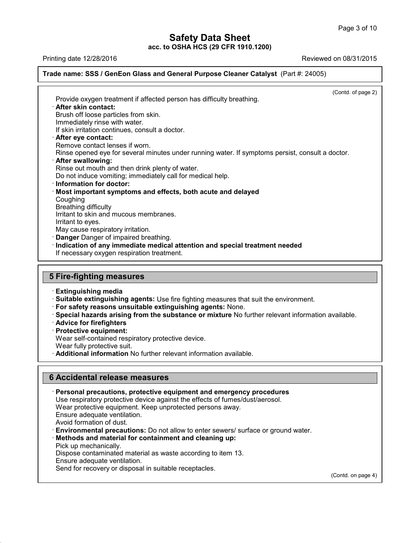### Page 3 of 10<br> **Safety Data Sheet**<br>
acc. to OSHA HCS (29 CFR 1910.1200)<br>
Reviewed on 08/31/2015<br>
Reviewed on 08/31/2015<br>
Reviewed on 08/31/2015 **Trade name: SSS / GenEon Glass and General Purpose Cleaner Catalyst** (Part #: 24005)

 $\overline{(\text{Cond. of page 2})}$ Provide oxygen treatment if affected person has difficulty breathing.<br>Provide oxygen treatment if affected person has difficulty breathing.<br>• **After skin contact:**<br>Brush off loose particles from skin.<br>Immediately rinse wit Brush off loose particles from skin.<br>Brush off loose particles from skin.<br>Brush off loose particles from skin.<br>Brush off loose particles from skin.<br>If skin irritation continues, consult a doctor. Provide oxygen treatment if affected person has difficulty breathing.<br> **After skin contact:**<br>
Brush off loose particles from skin.<br>
Immediately rinse with water.<br>
If skin irritation continues, consult a doctor.<br> **After eve** Provide oxygen treatment if affected person has difficu<br> **After skin contact:**<br>
Brush off loose particles from skin.<br>
Immediately rinse with water.<br>
If skin irritation continues, consult a doctor.<br> **After eye contact:**<br>
Re After skin contact:<br>Brush off loose particles from skin.<br>Immediately rinse with water.<br>If skin irritation continues, consult a doctor.<br>After eye contact lenses if worn.<br>Rinse opened eye for several minutes under<br>After swal Rrush off loose particles from skin.<br>
Immediately rinse with water.<br>
If skin irritation continues, consult a doctor.<br> **After eye contact:**<br>
Remove contact lenses if worn.<br>
Rinse opened eye for several minutes under running If skin irritation continues, consult a doctor.<br>**After eye contact:**<br>Remove contact lenses if worn.<br>Rinse opened eye for several minutes under running water.<br>**After swallowing:**<br>Rinse out mouth and then drink plenty of wat **Example 31 After eye contact:**<br>
Rinse opened eye for several minutes under running water. If symptoms<br> **After swallowing:**<br> **Rinse out mouth and then drink plenty of water.**<br>
Do not induce vomiting; immediately call for m • **After swallowing:**<br>• **After swallowing:**<br>• **After swallowing:**<br>• **Rinse out mouth and then drink plenty of water.**<br>• **Do not induce vomiting; immediately call for medical help.**<br>• **Information for doctor:**<br>• **Most impor** Coughing<br>Breathing difficulty Rinse out mouth and then dri<br>Do not induce vomiting; imme<br>**Information for doctor:**<br>**Most important symptoms**<br>Coughing<br>Breathing difficulty<br>Irritant to skin and mucous m<br>Irritant to eves Do not induce vomiting; immediately call for m<br>**Information for doctor:**<br>**Most important symptoms and effects, bot**<br>Coughing<br>Breathing difficulty<br>Irritant to skin and mucous membranes.<br>Irritant to eyes.<br>May cause respirato **Information for doctor:**<br>**Most important symptoms**<br>Coughing<br>Breathing difficulty<br>Irritant to skin and mucous n<br>Irritant to eyes.<br>May cause respiratory irritati<br>**Danger** Danger of impaired Most important symptoms and effects, both acute and delayed<br>
Coughing<br>
Breathing difficulty<br>
Irritant to skin and mucous membranes.<br>
Irritant to eyes.<br>
May cause respiratory irritation.<br> **Danger** Danger of impaired breathi Irritant to skin and mucous membranes.<br>Irritant to eyes.<br>May cause respiratory irritation.<br>**Danger** Danger of impaired breathing.<br>**Indication of any immediate medical attention a**<br>If necessary oxygen respiration treatment. May cause respiratory imitation.<br> **Danger Danger of impaired breathing.**<br> **Indication of any immediate medical a**<br> **If necessary oxygen respiration treatment**<br> **5 Fire-fighting measures**<br> **Extinguishing media** If necessary oxygen respiration treatment.<br> **Extinguishing measures**<br> **Extinguishing media**<br> **Extinguishing media**<br> **Extinguishing agents:** Use fire fighting measures that suit the environment.

Examguishing media<br>
• Suitable extinguishing agent<br>
• For safety reasons unsuitable<br>
• Special hazards arising from<br>
• Advice for firefighters<br>
• Protective equipment:<br>
• Wear self-contained respirator<br>
• Wear fully protec

Fire-fighting measures<br>
Extinguishing media<br>
Suitable extinguishing agents: Use fire fighting measures that suit the environment.<br>
For safety reasons unsuitable extinguishing agents: None.<br>
Special hazards arising from the For safety reasons unsuitable extinguishing agents: None.<br>
Special hazards arising from the substance or mixture No further relevant information available.<br>
Advice for firefighters<br>
Protective equipment:<br>
Wear self-contain **For satety reasons unsuitable extinguishing agents:** None.<br>
• **Special hazards arising from the substance or mixture** No further relevant<br>
• **Advice for firefighters**<br>
• **Protective equipment:**<br>
Wear self-contained respir

- 
- 

41.1.0

**Frotective equipment:**<br>
Wear self-contained respiratory protective device<br>
Wear fully protective suit.<br> **Additional information** No further relevant infor<br> **6 Accidental release measures**<br>
Personal precautions, protective • **Additional Information No further relevant Information available.**<br> **• Accidental release measures**<br>
• **Personal precautions, protective equipment and emergency procedures**<br>
Use respiratory protective device against the Accidental release measures<br>Personal precautions, protective equipment and emergency procedures<br>Use respiratory protective device against the effects of fumes/dust/aerosol.<br>Wear protective equipment. Keep unprotected perso Accidental release measures<br>Personal precautions, protective equipment and emergency proceduities<br>Use respiratory protective device against the effects of fumes/dust/aerosol<br>Wear protective equipment. Keep unprotected pers **Accidental release measures<br>Personal precautions, protective e<br>Use respiratory protective device aga<br>Wear protective equipment. Keep un<br>Ensure adequate ventilation.<br>Avoid formation of dust.**<br>Environmental precautions: Do **Personal precautions, protective equipment and emergency procedures**<br>Use respiratory protective device against the effects of fumes/dust/aerosol.<br>Wear protective equipment. Keep unprotected persons away.<br>Ensure adequate v Wear protective equipment<br>Ensure adequate ventilatio<br>Avoid formation of dust.<br>**Environmental precaution<br>Methods and material for**<br>Pick up mechanically.<br>Dispose contaminated mat<br>Ensure adequate ventilation Ensure adequate ventilation.<br>Avoid formation of dust.<br>**Environmental precautions:** Do not allow to enter sewers/ surface or ground<br>**Methods and material for containment and cleaning up:**<br>Pick up mechanically.<br>Dispose conta Avoid formation of dust.<br>**Environmental precautions:** Do no<br>**Methods and material for containn**<br>Pick up mechanically.<br>Dispose contaminated material as wa<br>Ensure adequate ventilation.<br>Send for recovery or disposal in suita Methods and material for containment and cleaning up:<br>Pick up mechanically.<br>Dispose contaminated material as waste according to item 13.<br>Ensure adequate ventilation.<br>Send for recovery or disposal in suitable receptacles.

(Contd. on page 4)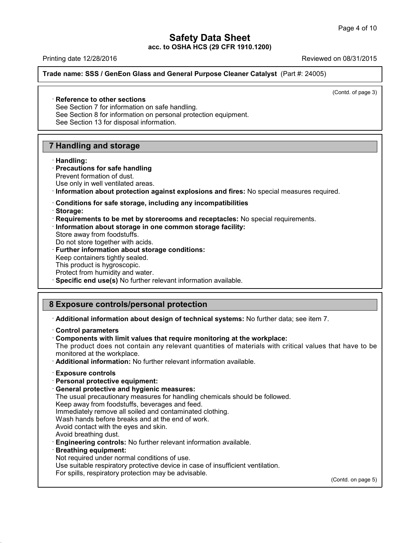Page 4 of 10<br> **Safety Data Sheet**<br>
acc. to OSHA HCS (29 CFR 1910.1200)<br>
Reviewed on 08/31/2015<br>
Reviewed on 08/31/2015<br>
Reviewed on 08/31/2015 **Trade name: SSS / GenEon Glass and General Purpose Cleaner Catalyst** (Part #: 24005)<br> **Reference to other sections**<br>
See Section 7 for information on safe handling.<br>
See Section 8 for information on personal protection eq **Example 12 ESSE 18**<br> **Reference to other sections**<br>
See Section 7 for information on safe has<br>
See Section 8 for information on person

 $\overline{(\text{Cond. of page 3})}$ 

Reference to other sections<br>See Section 7 for information on safe handling.<br>See Section 8 for information on personal protection equipment.<br>See Section 13 for disposal information. Reference to other sections<br>See Section 7 for information on safe handling.<br>See Section 8 for information on personal prote<br>See Section 13 for disposal information. **12 Reference to other sections**<br>
See Section 7 for information on safe has<br>
See Section 8 for information on personal<br>
See Section 13 for disposal information.<br> **7 Handling and storage**<br> **Handling:** 

### · **Handling: Fandling and storage<br>
· <b>Handling:**<br>
· **Precautions for safe handling**<br>
Prevent formation of dust.<br>
Use only in well ventilated areas.

- **Handling and storage<br>
Handling:<br>
Precautions for safe handling<br>
Prevent formation of dust.<br>
Use only in well ventilated areas.<br>
Information about protection against**
- **Exampling and storage**<br>
 **Handling:**<br>
 **Precautions for safe handling**<br>
 Prevent formation of dust.<br>
 Use only in well ventilated areas.<br>
 **Conditions for safe storage, including any incompatibilities**<br>
 **Storage:** Use only in well ventilated areas.<br> **· Information about protection against explosions and fires:** No special measures required.<br> **· Conditions for safe storage, including any incompatibilities**<br> **· Requirements to be met**
- 
- · **Storage:**
- **Requirements to be met by storerooms and receptacles:** No special requirements.<br> **Information about storage in one common storage facility:**<br>
Store away from foodstuffs.<br>
Do not store together with acids.<br> **Further inform**
- Conditions for safe storage, including any incompatibilities<br>• Storage:<br>• Requirements to be met by storerooms and receptacles: No<br>• Information about storage in one common storage facility:<br>• Store away from foodstuffs. Information about storage in one common storage facility:<br>Store away from foodstuffs.<br>Do not store together with acids.<br>Further information about storage conditions:<br>Keep containers tightly sealed.<br>This product is hygrosco
- 
- 
- Do not store together with acids.<br>
Further information about storage conditions:<br>
Keep containers tightly sealed.<br>
This product is hygroscopic.<br>
Protect from humidity and water.<br>
Becific end use(s) No further relevant info
- 
- 
- 
- Store away from foodstuffs.<br>
Do not store together with acids.<br> **Further information about storage conditions:**<br>
Keep containers tightly sealed.<br>
This product is hygroscopic.<br>
Protect from humidity and water.<br> **Specific en**

- Reep containers ugnity sealed.<br>
This product is hygroscopic.<br>
Protect from humidity and water.<br> **8 Exposure controls/personal protection**<br> **8 Exposure controls/personal protection**<br> **Additional information about design of** · **Additional information about design of technical systems:** No further data; see item 7. · **Control parameters**
- 
- 

• **Composure controls/personal protection**<br>• **Additional information about design of technical systems:** No further data; see<br>• **Control parameters**<br>• **Components with limit values that require monitoring at the workplace:** Exposure commons/personial protection<br>Additional information about design of technical systems: No further data; see item 7.<br>Control parameters<br>Components with limit values that require monitoring at the workplace:<br>The pro montrol parameters<br> **Control parameters**<br> **Components with limit values that require monitoring at the workplace.**<br>
The product does not contain any relevant quantities of materials with informationed at the workplace.<br> **A** The product does not contain any rele<br>monitored at the workplace.<br>**Additional information:** No further relevent<br>**Exposure controls**<br>**Personal protective equipment:**<br>**General protective and hygienic meas**<br>The usual precauti

monitored at the workplace.<br> **Additional information:** No further relevant information available.<br> **Exposure controls**<br> **Personal protective equipment:**<br> **Ceneral protective and hygienic measures:**<br>
The usual precautionary

- 
- 

Additional information: No further relevant information available.<br> **Exposure controls**<br> **Personal protective equipment:**<br> **General protective and hygienic measures:**<br>
The usual precautionary measures for handling chemical Exposure controls<br>
Personal protective equipment:<br>
General protective and hygienic measures:<br>
The usual precautionary measures for handling chemicals sho<br>
Keep away from foodstuffs, beverages and feed.<br>
Immediately remove Exposure controls<br>
Personal protective equipment:<br>
General protective and hygienic measures:<br>
The usual precautionary measures for handling chemicals should be<br>
Keep away from foodstuffs, beverages and feed.<br>
Immediately r **Personal protective equipment:**<br> **General protective and hygienic measures:**<br>
The usual precautionary measures for handling chemicals shoule<br>
Keep away from foodstuffs, beverages and feed.<br>
Immediately remove all soiled a

- 
- **General protective and hygienic measures:**<br>The usual precautionary measures for handling che<br>Keep away from foodstuffs, beverages and feed.<br>Immediately remove all soiled and contaminated ck<br>Wash hands before breaks and at
- 
- 
- 
- The usual precautionary measures for handling chemicals should be follow<br>Keep away from foodstuffs, beverages and feed.<br>
Immediately remove all soiled and contaminated clothing.<br>
Wash hands before breaks and at the end of Wash hands before breaks and at the end of work.<br>Avoid contact with the eyes and skin.<br>Avoid breathing dust.<br>**Engineering controls:** No further relevant information avai<br>**Breathing equipment:**<br>Not required under normal con Avoid breathing dust.<br>**Engineering controls:** No further relevant information ava<br>**Breathing equipment:**<br>Not required under normal conditions of use.<br>Use suitable respiratory protective device in case of insuffic<br>For spill
- 

41.1.0

- 
- Avoid contact with the eyes and skin.<br>Avoid breathing dust.<br>**Engineering controls:** No further relevant information available.<br>**Breathing equipment:**<br>Not required under normal conditions of use.<br>Use suitable respiratory pr
- 

(Contd. on page 5)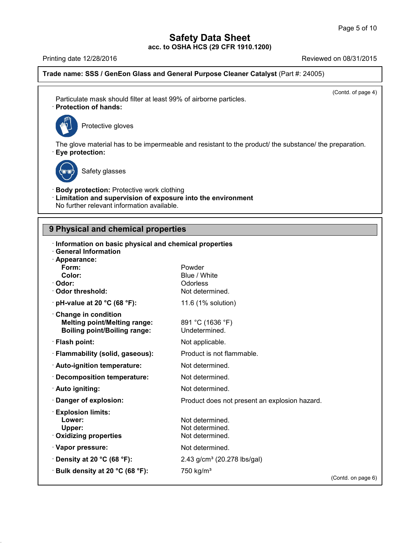## **Safety Data Sheet<br>

OSHA HCS (29 CFR 1910.1200) acc. to OSHA HCS (29 CFR 1910.1200)**

Page 5 of 10<br> **Safety Data Sheet**<br>
acc. to OSHA HCS (29 CFR 1910.1200)<br>
Reviewed on 08/31/2015<br>
Reviewed on 08/31/2015<br>
Reviewed on 08/31/2015 **Trade name: SSS / GenEon Glass and General Purpose Cleaner Catalyst** (Part #: 24005)

 $\overline{(\text{Cond. of page 4})}$ 

Particulate mask should filter at least 99% of airborne particles.<br>
Particulate mask should filter at least 99% of airborne particles.<br>
Protection of hands: Particulate mask should filter at least 99% of airborne particles.<br>
Protection of hands:<br>  $\begin{bmatrix} \sqrt{m_0^2} \\ \sqrt{m_0^2} \end{bmatrix}$  Protective gloves



The glove material has to be impermeable and resistant to the product/ the substance/ the preparation.<br>• **Eye protection:**<br>• **Eye protection:** e material has to be imper<br>te<mark>ction:</mark><br>Safety glasses



41.1.0

**Eye protection:**<br>
Safety glasses<br> **Body protection:** Protective work clothing<br> **Limitation and supervision of exposure into the er-<br>
No further relevant information available. Example 3**<br> **Example 3**<br> **Example 3**<br> **Limitation and supervision of exposure into the environment<br>
No further relevant information available.** Safety glasses<br>
Body protection: Protective work clothing<br>
Limitation and supervision of exposure into the<br>
No further relevant information available. **19 Body protection:** Protective work clothing<br> **19 Detail Constant Constrainer State Properties**<br> **9 Physical and chemical properties**<br> **19 Physical and chemical properties**<br> **19 Physical and chemical properties** 

| <u>No further relevant information available.</u>                                                                                                     |                                                       |                    |
|-------------------------------------------------------------------------------------------------------------------------------------------------------|-------------------------------------------------------|--------------------|
| 9 Physical and chemical properties                                                                                                                    |                                                       |                    |
| Information on basic physical and chemical properties<br><b>General Information</b><br>· Appearance:<br>Form:<br>Color:<br>· Odor:<br>Odor threshold: | Powder<br>Blue / White<br>Odorless<br>Not determined. |                    |
| $\cdot$ pH-value at 20 °C (68 °F):                                                                                                                    | 11.6 (1% solution)                                    |                    |
| Change in condition<br><b>Melting point/Melting range:</b><br><b>Boiling point/Boiling range:</b>                                                     | 891 °C (1636 °F)<br>Undetermined.                     |                    |
| · Flash point:                                                                                                                                        | Not applicable.                                       |                    |
| · Flammability (solid, gaseous):                                                                                                                      | Product is not flammable.                             |                    |
| · Auto-ignition temperature:                                                                                                                          | Not determined.                                       |                    |
| · Decomposition temperature:                                                                                                                          | Not determined.                                       |                    |
| · Auto igniting:                                                                                                                                      | Not determined.                                       |                    |
| Danger of explosion:                                                                                                                                  | Product does not present an explosion hazard.         |                    |
| <b>Explosion limits:</b><br>Lower:<br>Upper:<br>· Oxidizing properties                                                                                | Not determined.<br>Not determined.<br>Not determined. |                    |
| · Vapor pressure:                                                                                                                                     | Not determined.                                       |                    |
| $\cdot$ Density at 20 °C (68 °F):                                                                                                                     | 2.43 g/cm <sup>3</sup> (20.278 lbs/gal)               |                    |
| · Bulk density at 20 °C (68 °F):                                                                                                                      | 750 kg/m <sup>3</sup>                                 | (Contd. on page 6) |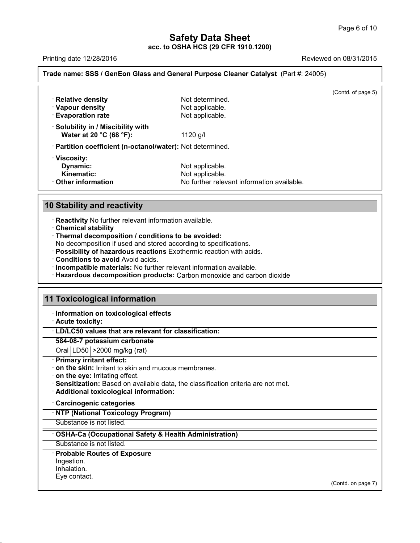Page 6 of 10<br>
acc. to OSHA HCS (29 CFR 1910.1200)<br>
Printing date 12/28/2016<br>
Reviewed on 08/31/2015<br>
Reviewed on 08/31/2015<br>
Reviewed on 08/31/2015 **Trade name: SSS / GenEon Glass and General Purpose Cleaner Catalyst** (Part #: 24005)

|                                                                  |                                            | (Contd. of page 5) |
|------------------------------------------------------------------|--------------------------------------------|--------------------|
| · Relative density                                               | Not determined.                            |                    |
| · Vapour density                                                 | Not applicable.                            |                    |
| <b>Evaporation rate</b>                                          | Not applicable.                            |                    |
| $\cdot$ Solubility in / Miscibility with                         |                                            |                    |
| Water at 20 °C (68 °F):                                          | 1120 g/l                                   |                    |
| · Partition coefficient (n-octanol/water): Not determined.       |                                            |                    |
| · Viscosity:                                                     |                                            |                    |
| Dynamic:                                                         | Not applicable.                            |                    |
| Kinematic:                                                       | Not applicable.                            |                    |
| $\cdot$ Other information                                        | No further relevant information available. |                    |
| <b>10 Stability and reactivity</b>                               |                                            |                    |
| · Reactivity No further relevant information available.          |                                            |                    |
| <b>Chemical stability</b>                                        |                                            |                    |
| · Thermal decomposition / conditions to be avoided:              |                                            |                    |
| No decomposition if used and stored according to specifications. |                                            |                    |

- 
- 

**10 Stability and reactivity<br>
· Reactivity No further relevant information available.**<br> **• Chemical stability**<br> **• Thermal decomposition / conditions to be avoided:**<br> **No decomposition if used and stored according to speci** 

- 
- 
- 
- **Stability and reactivity**<br> **Example 12**<br> **Example 12**<br> **Example 12**<br> **Chemical stability**<br> **Chemical stability**<br> **Chemical stability**<br> **Chemical stability**<br> **Conditions if used and stored according to specifications.**<br> **P 11 Conditions to avoid Avoid acids.**<br> **11 Incompatible materials:** No further relevant information available.<br> **11 Toxicological information**<br> **11 Toxicological information**<br> **11 Information on toxicological effects**<br> **11**

# 11 Toxicological information<br>
liferation on toxicological ef<br>
Acute toxicity:<br>
LD/LC50 values that are releval<br>
584-08-7 potassium carbonate

**Information on toxicological information<br>Information on toxicological effects**<br>Acute toxicity:<br>Information on toxicological effects<br>In Fig. C50 values that are relevant for eleccification

### **Toxicological information<br>· Information on toxicological effects<br>· Acute toxicity:<br>· LD/LC50 values that are relevant for classification:<br>584-08-7 potassium carbonate 1255-1010 Information on toxicological effects**<br> **584-08-7 potassium carbonate**<br> **584-08-7 potassium carbonate**<br>
Oral LD50 | >2000 mg/kg (rat)<br> **Primary irritant effect:**  $\cdot$  LD/LC50 values that are relevant for classification:

- 
- · **on the skin:** Irritant to skin and mucous membranes.<br> **on the eye:** Irritating effect.
- 
- LD/LC50 values that are relevant for classification:<br>
584-08-7 potassium carbonate<br>
Oral LD50 > 2000 mg/kg (rat)<br>
Primary irritant effect:<br>
on the skin: Irritant to skin and mucous membranes.<br>
on the eye: Irritating effec · **Sensitization:** Based on available data, the classification criteria are not met.
- **Additional toxicological information:**<br>Carcinogenic categories<br><u>NTP (National Toxicology Program)</u><br>Substance is not listed.

### Substance is not listed.<br>
• **Additional toxicological information:**<br>
• **Carcinogenic categories**<br>
• **NTP (National Toxicology Program)**<br>
• Substance is not listed.<br>
• **OSHA-Ca (Occupational Safety & Health Administration) COSHA-Ca (Occupational Safety & Health Administration)**<br>Substance is not listed.<br>**· Probable Routes of Exposure**

Substance is not listed.

Ingestion.

Inhalation.<br>Eye contact.

41.1.0

(Contd. on page 7)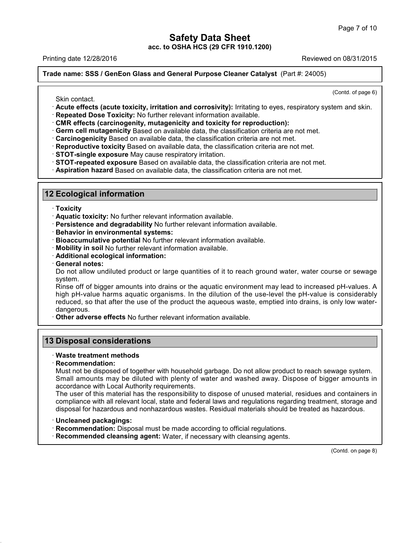Page 7 of 10<br>
acc. to OSHA HCS (29 CFR 1910.1200)<br>
Printing date 12/28/2016<br>
Reviewed on 08/31/2015<br>
Reviewed on 08/31/2015<br>
Reviewed on 08/31/2015 **Trade name: SSS / GenEon Glass and General Purpose Cleaner Catalyst** (Part #: 24005)

 $\overline{(\text{Cond. of page 6})}$ 

- Reviewed of 06/31/2013<br>
In the name: SSS / GenEon Glass and General Purpose Cleaner Catalyst (Part #: 24005)<br>
Skin contact.<br>
Contd. of page 6)<br>
Skin contact.<br>
Contd. of page 6)<br>
Contd. of page 6)<br>
Contd. of page 6)<br>
Contd. Skin contact.<br>
Contd. of page<br>
Contd. of page<br>
Contd. of page<br>
Repeated Dose Toxicity, irritation and corrosivity): Irritating to eyes, respiratory system and skin<br>
Repeated Dose Toxicity: No further relevant information a
- 
- 
- 
- 
- 
- 
- **12 Ecological information**<br> **12 Ecological information**<br> **12 Ecological information**<br> **12 Ecological information**<br> **12 Ecological information**<br> **12 Ecological information**<br> **12 Ecological information**<br> **12 Ecological info** 
	-

- · **Toxicity**
- 
- **Ecological information**<br>
 **Toxicity**<br>
 **Aquatic toxicity:** No further relevant information available.<br>
 **Persistence and degradability** No further relevant information available.<br>
 **Bioaccumulative potential** No furt • **Toxicity**<br>• **Aquatic toxicity:** No further relevant information available.<br>• **Behavior in environmental systems:**<br>• **Bioaccumulative potential** No further relevant information available.<br>• **Mobility in soil** No further
- 
- **Persistence and degradability No further relevant information available.**<br> **Behavior in environmental systems:**<br> **Bioaccumulative potential No further relevant information available.**<br> **Mobility in soil No further relevan**
- 
- 
- 

Do not allow undiluted product or large quantities of it to reach ground water, water course or sewage system.<br>System.<br>Rinse off of bigger amounts into drains or the aquatic environment may lead to increased pH-values. A system.

Mobility in soil No further relevant information available.<br>
Additional ecological information:<br>
Ceneral notes:<br>
Do not allow undiluted product or large quantities of it to reach ground water, water course or sewage<br>
syste Additional ecological information:<br>General notes:<br>Do not allow undiluted product or large quantities of it to reach ground water, water course or sewage<br>system.<br>Rinse off of bigger amounts into drains or the aquatic enviro General notes:<br>Do not allow undiluted product or large quantities of it to reach ground water, water course or sewage<br>system.<br>Rinse off of bigger amounts into drains or the aquatic environment may lead to increased pH-valu dangerous.<br>Other adverse effects No further relevant information available. system.<br>
Rinse off of bigger amounts into drains or the aquatic environment may<br>
high pH-value harms aquatic organisms. In the dilution of the use-lev<br>
reduced, so that after the use of the product the aqueous waste, empti migh pH-value harms aqualic organisms.<br> **13 Disposal considerations**<br> **13 Disposal considerations**<br> **13 Disposal considerations** 

### · **Waste treatment methods**

### · **Recommendation:**

**Disposal considerations**<br>Waste treatment methods<br>Recommendation:<br>Must not be disposed of together with household garbage. Do not allow product to reach sewage system.<br>Small amounts may be diluted with plenty of water and **Disposal considerations**<br>
Waste treatment methods<br>
Recommendation:<br>
Must not be disposed of together with household garbage. Do not allow product to reach sewage system.<br>
Small amounts may be diluted with plenty of water Must not be disposed of together with household garbage. Do not allow product to reach sewage system.<br>Small amounts may be diluted with plenty of water and washed away. Dispose of bigger amounts in<br>accordance with Local Au Waste treatment methods<br>
Recommendation:<br>
Must not be disposed of together with household garbage. Do not allow product to reach sewage system.<br>
Small amounts may be diluted with plenty of water and washed away. Dispose of

Recommendation:<br>
Must not be disposed of together with household garbage. Do not allow product to reach sewage system.<br>
Small amounts may be diluted with plenty of water and washed away. Dispose of bigger amounts in<br>
accor Must not be disposed of together with household garbage. Do not allow product to reach sewage system.<br>
Small amounts may be diluted with plenty of water and washed away. Dispose of bigger amounts in<br>
accordance with Local Frecusity to dispose of unused material, residues according to this material has the responsibility to dispose of unused material, residues according to compliance with all relevant local, state and federal laws and regula

41.1.0

- 
- 

(Contd. on page 8)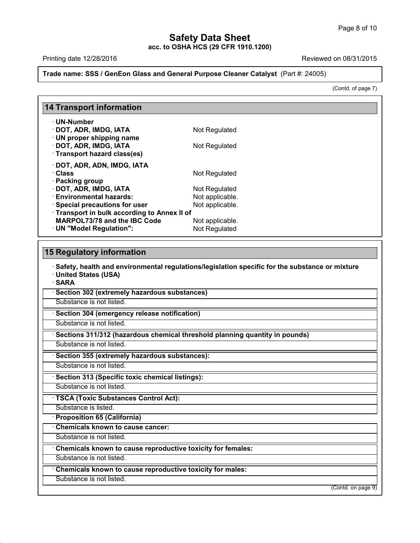## **Safety Data Sheet<br>

OSHA HCS (29 CFR 1910.1200) acc. to OSHA HCS (29 CFR 1910.1200)**

on 08/31/2015<br>
(Contd. of page 7)

### Page 8 of 10<br>
acc. to OSHA HCS (29 CFR 1910.1200)<br>
Printing date 12/28/2016<br>
Reviewed on 08/31/2015<br>
Reviewed on 08/31/2015<br>
Reviewed on 08/31/2015 **Trade name: SSS / GenEon Glass and General Purpose Cleaner Catalyst** (Part #: 24005)

|                                                      | Trade name: SSS / GenEon Glass and General Purpose Cleaner Catalyst (Part #: 24005)                    |  |
|------------------------------------------------------|--------------------------------------------------------------------------------------------------------|--|
|                                                      | (Contd. of page 7)                                                                                     |  |
| 14 Transport information                             |                                                                                                        |  |
| · UN-Number                                          |                                                                                                        |  |
| · DOT, ADR, IMDG, IATA<br>· UN proper shipping name  | Not Regulated                                                                                          |  |
| DOT, ADR, IMDG, IATA<br>· Transport hazard class(es) | Not Regulated                                                                                          |  |
| DOT, ADR, ADN, IMDG, IATA                            |                                                                                                        |  |
| · Class                                              | Not Regulated                                                                                          |  |
| · Packing group                                      |                                                                                                        |  |
| DOT, ADR, IMDG, IATA                                 | Not Regulated                                                                                          |  |
| <b>Environmental hazards:</b>                        | Not applicable.                                                                                        |  |
| · Special precautions for user                       | Not applicable.                                                                                        |  |
| Transport in bulk according to Annex II of           |                                                                                                        |  |
| <b>MARPOL73/78 and the IBC Code</b>                  | Not applicable.                                                                                        |  |
| · UN "Model Regulation":                             | Not Regulated                                                                                          |  |
| 15 Regulatory information                            |                                                                                                        |  |
|                                                      | $\cdot$ Safety, health and environmental regulations/legislation specific for the substance or mixture |  |

• **DN ™Model Regulation •:**<br> **Safety, health and environmental regulations/legislation specific for the substance or mixture**<br>
• United States (USA)<br>• SARA **15 Regulatory information**<br>· Safety, health and environm<br>· United States (USA) · **SARA** • **Safety, health and environmental regulations/legisla**<br>• United States (USA)<br>• SARA<br>• Section 302 (extremely hazardous substances)<br>Substance is not listed. **Substance is not listed.**<br>Substance is not listed.<br>**· Section 304 (emergency release notification)**<br>Substance is not listed. **SARA**<br>
• Section 302 (extremely hazardous substances)<br>
• Substance is not listed.<br>
• Sections 311/312 (hazardous chemical threshold planning quantity in pounds)<br>
• Substance is not listed. **Substance is not listed.**<br> **• Section 304 (emergency release notification)**<br>
• Substance is not listed.<br>
• Substance is not listed.<br>
• Section 355 (extremely hazardous substances):<br>
• Substance is not listed. **Example 15 (Sections 311/312 (hazardous chemical threshold plant<br>
Substance is not listed.**<br> **• Section 355 (extremely hazardous substances):**<br>
Substance is not listed.<br>
• Section 313 (Specific toxic chemical listings):<br> **Substance is not listed.**<br> **Substance is not listed.**<br> **Substance is not listed.**<br> **Substance is not listed.**<br> **TSCA (Toxic Substances Control Act):**<br>
Substance is listed. Substance is not listed.<br> **· Section 313 (Specific toxic chemical listings):**<br>
Substance is not listed.<br> **· TSCA (Toxic Substances Control Act):**<br>
Substance is listed.<br> **· Proposition 65 (California)**<br>
· Chemicals known to **TSCA (Toxic Substances Control Act): TSCA (Toxic Substances Control Act):**<br>
Substance is listed.<br> **• Proposition 65 (California)**<br>
• Chemicals known to cause cancer:<br>
Substance is not listed.<br>
• Chemicals known to cause reproductive toxicity for females:<br>
Su **Chemicals known to cause cancer:**<br>
Substance is not listed.<br> **Chemicals known to cause reproductive toxicity for females:**<br>
Substance is not listed.<br> **Chemicals known to cause reproductive toxicity for males:**<br>
Substance

Chemicals known to cause reproductive toxicity for females:<br>Substance is not listed.<br>Chemicals known to cause reproductive toxicity for males:<br>Substance is not listed.

41.1.0

(Contd. on page 9)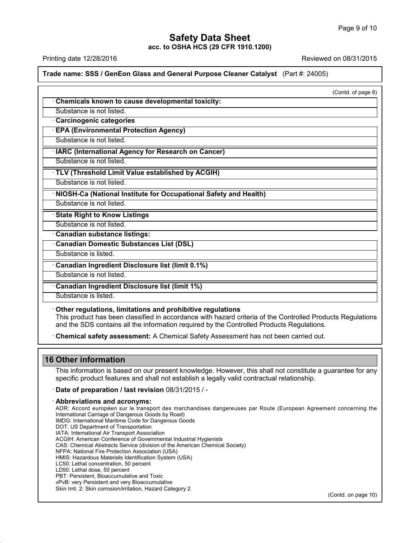Page 9 of 10<br> **Safety Data Sheet**<br>
acc. to OSHA HCS (29 CFR 1910.1200)<br>
Reviewed on 08/31/2015<br>
Reviewed on 08/31/2015<br>
Reviewed on 08/31/2015 **Trade name: SSS / GenEon Glass and General Purpose Cleaner Catalyst** (Part #: 24005)

| Trade name: SSS / GenEon Glass and General Purpose Cleaner Catalyst (Part #: 24005)                                                                                                                                                                                   |                    |
|-----------------------------------------------------------------------------------------------------------------------------------------------------------------------------------------------------------------------------------------------------------------------|--------------------|
|                                                                                                                                                                                                                                                                       | (Contd. of page 8) |
| Chemicals known to cause developmental toxicity:                                                                                                                                                                                                                      |                    |
| Substance is not listed.                                                                                                                                                                                                                                              |                    |
| · Carcinogenic categories                                                                                                                                                                                                                                             |                    |
| <b>EPA (Environmental Protection Agency)</b>                                                                                                                                                                                                                          |                    |
| Substance is not listed.                                                                                                                                                                                                                                              |                    |
| · IARC (International Agency for Research on Cancer)                                                                                                                                                                                                                  |                    |
| Substance is not listed.                                                                                                                                                                                                                                              |                    |
| · TLV (Threshold Limit Value established by ACGIH)                                                                                                                                                                                                                    |                    |
| Substance is not listed.                                                                                                                                                                                                                                              |                    |
| NIOSH-Ca (National Institute for Occupational Safety and Health)                                                                                                                                                                                                      |                    |
| Substance is not listed.                                                                                                                                                                                                                                              |                    |
| <b>State Right to Know Listings</b>                                                                                                                                                                                                                                   |                    |
| Substance is not listed.                                                                                                                                                                                                                                              |                    |
| · Canadian substance listings:                                                                                                                                                                                                                                        |                    |
| Canadian Domestic Substances List (DSL)                                                                                                                                                                                                                               |                    |
| Substance is listed.                                                                                                                                                                                                                                                  |                    |
| Canadian Ingredient Disclosure list (limit 0.1%)                                                                                                                                                                                                                      |                    |
| Substance is not listed.                                                                                                                                                                                                                                              |                    |
| Canadian Ingredient Disclosure list (limit 1%)                                                                                                                                                                                                                        |                    |
| Substance is listed.                                                                                                                                                                                                                                                  |                    |
| Other regulations, limitations and prohibitive regulations<br>This product has been classified in accordance with hazard criteria of the Controlled Products Regulations<br>and the SDS contains all the information required by the Controlled Products Regulations. |                    |
| · Chemical safety assessment: A Chemical Safety Assessment has not been carried out.                                                                                                                                                                                  |                    |

This product has been classified in<br>and the SDS contains all the inform<br>**16 Other information<br>This information**<br>This information is based on our propecific product features and shall in

41.1.0

This information<br>This information<br>This information is based on our present knowledge. However, this shall not constitute a guarantee for any<br>specific product features and shall not establish a legally valid contractual rel Specific product features and shall not establish a legally valid contractual relationship.<br>
This information is based on our present knowledge. However, this shall not constitute a gual specific product features and shall

This information is based on our preser<br>specific product features and shall not  $\epsilon$ <br>**· Date of preparation / last revision** 08.<br>**Abbreviations and acronyms:**<br>ADR: Accord européen sur le transport des<br>International Carriag specific product features and shall not establish a legally valid contractual relationship.<br> **Date of preparation / last revision** 08/31/2015 / -<br>
A**bbreviations and acronyms:**<br>
International Carriage of Dangerous Goods<br>
I Date of preparation / last revision 08/31/2015 / -<br>Abbreviations and acronyms:<br>ADR: Accord européen sur le transport des marchandises d<br>International Carriage of Dangerous Goods by Road)<br>IMDG: International Maritime Code f Date of preparation / last revision 08/31/2015 / -<br>Abbreviations and acronyms:<br>ADR: Accord européen sur le transport des marchandises dang<br>International Carriage of Dangerous Goods by Road)<br>IMDG: International Maritime Cod **Abbreviations and acronyms:**<br>ADR: Accord européen sur le transport des<br>International Carriage of Dangerous Goods by R<br>IMDG: International Maritime Code for Dangerou<br>DOT: US Department of Transport Association<br>ACGIH: Ameri ADDreVIations and acronyms:<br>
ADR: Accord européen sur le transport des marc<br>
International Carriage of Dangerous Goods by Road)<br>
IMDG: International Maritime Code for Dangerous Goo<br>
DOT: US Department of Transportation<br>
AT ADR: Accord européen sur le transport des marchandises dangereuse<br>International Carriage of Dangerous Goods by Road)<br>IMDG: International Maritime Code for Dangerous Goods<br>DOT: US Department of Transportation<br>IATA: Internat International Carriage of Dangerous Goods by Road)<br>IMDG: International Maritime Code for Dangerous Goods<br>DOT: US Department of Transportation<br>IATA: International Air Transport Association<br>ACGIH: American Conference of Gove IMDG: International Maritime Code for Dangerous Goods<br>DOT: US Department of Transportation<br>IATA: International Air Transport Association<br>ACGIH: American Conference of Governmental Industrial Hygi<br>CAS: Chemical Abstracts Se DOT: US Department of Transportation<br>IATA: International Air Transport Association<br>ACGIH: American Conference of Governmental Industrial Hygienists<br>CAS: Chemical Abstracts Service (division of the American Chemica<br>NFPA: Na IATA: International Air Transport Association<br>ACGIH: American Conference of Governmental In<br>CAS: Chemical Abstracts Service (division of the *A*<br>NFPA: National Fire Protection Association (USA)<br>HMIS: Hazardous Materials Id ACGIH: American Conference of Governn<br>CAS: Chemical Abstracts Service (divisio<br>NFPA: National Fire Protection Associatic<br>HMIS: Hazardous Materials Identification<br>LC50: Lethal dose, 50 percent<br>LD50: Lethal dose, 50 percent<br> CAS: Chemical Abstracts Service (division of the America<br>NFPA: National Fire Protection Association (USA)<br>HMIS: Hazardous Materials Identification System (USA)<br>LC50: Lethal concentration, 50 percent<br>LD50: Lethal dose, 50 p NFPA: National Fire Protection Association (USA)<br>HMIS: Hazardous Materials Identification System (USA)<br>LC50: Lethal concentration, 50 percent<br>LD50: Lethal dose, 50 percent<br>PBT: Persistent, Bioaccumulative and Toxic<br>vPvB: v HMIS: Hazardous Materials Identification System (USA)<br>LC50: Lethal concentration, 50 percent<br>LD50: Lethal dose, 50 percent<br>PBT: Persistent, Bioaccumulative and Toxic<br>vPvB: very Persistent and very Bioaccumulative<br>Skin Irri (Contd. on page 10)